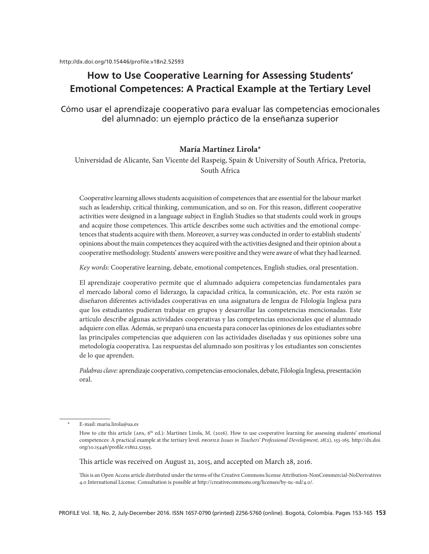# **How to Use Cooperative Learning for Assessing Students' Emotional Competences: A Practical Example at the Tertiary Level**

Cómo usar el aprendizaje cooperativo para evaluar las competencias emocionales del alumnado: un ejemplo práctico de la enseñanza superior

# **María Martínez Lirola\***

Universidad de Alicante, San Vicente del Raspeig, Spain & University of South Africa, Pretoria, South Africa

Cooperative learning allows students acquisition of competences that are essential for the labour market such as leadership, critical thinking, communication, and so on. For this reason, different cooperative activities were designed in a language subject in English Studies so that students could work in groups and acquire those competences. This article describes some such activities and the emotional competences that students acquire with them. Moreover, a survey was conducted in order to establish students' opinions about the main competences they acquired with the activities designed and their opinion about a cooperative methodology. Students' answers were positive and they were aware of what they had learned.

*Key words:* Cooperative learning, debate, emotional competences, English studies, oral presentation.

El aprendizaje cooperativo permite que el alumnado adquiera competencias fundamentales para el mercado laboral como el liderazgo, la capacidad crítica, la comunicación, etc. Por esta razón se diseñaron diferentes actividades cooperativas en una asignatura de lengua de Filología Inglesa para que los estudiantes pudieran trabajar en grupos y desarrollar las competencias mencionadas. Este artículo describe algunas actividades cooperativas y las competencias emocionales que el alumnado adquiere con ellas. Además, se preparó una encuesta para conocer las opiniones de los estudiantes sobre las principales competencias que adquieren con las actividades diseñadas y sus opiniones sobre una metodología cooperativa. Las respuestas del alumnado son positivas y los estudiantes son conscientes de lo que aprenden.

*Palabras clave:* aprendizaje cooperativo, competencias emocionales, debate, Filología Inglesa, presentación oral.

This article was received on August 21, 2015, and accepted on March 28, 2016.

This is an Open Access article distributed under the terms of the Creative Commons license Attribution-NonCommercial-NoDerivatives 4.0 International License. Consultation is possible at http://creativecommons.org/licenses/by-nc-nd/4.0/.

E-mail: maria.lirola@ua.es

How to cite this article (APA, 6<sup>th</sup> ed.): Martínez Lirola, M. (2016). How to use cooperative learning for assessing students' emotional competences: A practical example at the tertiary level. *profile Issues in Teachers' Professional Development, 18*(2), 153-165. http://dx.doi. org/10.15446/profile.v18n2.52593.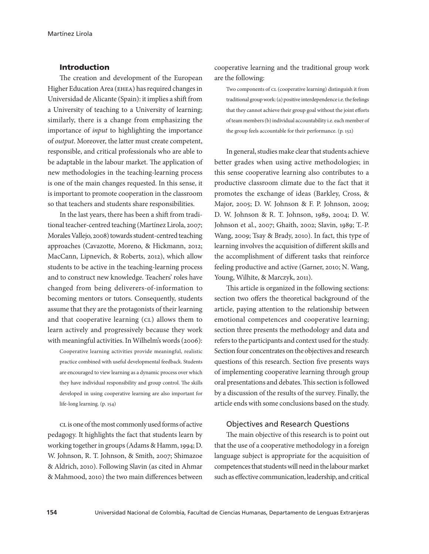# Introduction

The creation and development of the European Higher Education Area (ehea) has required changes in Universidad de Alicante (Spain): it implies a shift from a University of teaching to a University of learning; similarly, there is a change from emphasizing the importance of *input* to highlighting the importance of *output*. Moreover, the latter must create competent, responsible, and critical professionals who are able to be adaptable in the labour market. The application of new methodologies in the teaching-learning process is one of the main changes requested. In this sense, it is important to promote cooperation in the classroom so that teachers and students share responsibilities.

In the last years, there has been a shift from traditional teacher-centred teaching (Martínez Lirola, 2007; Morales Vallejo, 2008) towards student-centred teaching approaches (Cavazotte, Moreno, & Hickmann, 2012; MacCann, Lipnevich, & Roberts, 2012), which allow students to be active in the teaching-learning process and to construct new knowledge. Teachers' roles have changed from being deliverers-of-information to becoming mentors or tutors. Consequently, students assume that they are the protagonists of their learning and that cooperative learning (CL) allows them to learn actively and progressively because they work with meaningful activities. In Wilhelm's words (2006):

Cooperative learning activities provide meaningful, realistic practice combined with useful developmental feedback. Students are encouraged to view learning as a dynamic process over which they have individual responsibility and group control. The skills developed in using cooperative learning are also important for life-long learning. (p. 154)

cl is one of the most commonly used forms of active pedagogy. It highlights the fact that students learn by working together in groups (Adams & Hamm, 1994; D. W. Johnson, R. T. Johnson, & Smith, 2007; Shimazoe & Aldrich, 2010). Following Slavin (as cited in Ahmar & Mahmood, 2010) the two main differences between

cooperative learning and the traditional group work are the following:

Two components of  $CL$  (cooperative learning) distinguish it from traditional group work: (a) positive interdependence i.e. the feelings that they cannot achieve their group goal without the joint efforts of team members (b) individual accountability i.e. each member of the group feels accountable for their performance. (p. 152)

In general, studies make clear that students achieve better grades when using active methodologies; in this sense cooperative learning also contributes to a productive classroom climate due to the fact that it promotes the exchange of ideas (Barkley, Cross, & Major, 2005; D. W. Johnson & F. P. Johnson, 2009; D. W. Johnson & R. T. Johnson, 1989, 2004; D. W. Johnson et al., 2007; Ghaith, 2002; Slavin, 1989; T.-P. Wang, 2009; Tsay & Brady, 2010). In fact, this type of learning involves the acquisition of different skills and the accomplishment of different tasks that reinforce feeling productive and active (Garner, 2010; N. Wang, Young, Wilhite, & Marczyk, 2011).

This article is organized in the following sections: section two offers the theoretical background of the article, paying attention to the relationship between emotional competences and cooperative learning; section three presents the methodology and data and refers to the participants and context used for the study. Section four concentrates on the objectives and research questions of this research. Section five presents ways of implementing cooperative learning through group oral presentations and debates. This section is followed by a discussion of the results of the survey. Finally, the article ends with some conclusions based on the study.

## Objectives and Research Questions

The main objective of this research is to point out that the use of a cooperative methodology in a foreign language subject is appropriate for the acquisition of competences that students will need in the labour market such as effective communication, leadership, and critical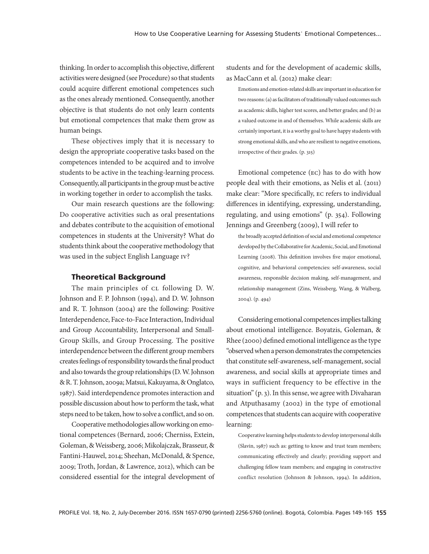thinking. In order to accomplish this objective, different activities were designed (see Procedure) so that students could acquire different emotional competences such as the ones already mentioned. Consequently, another objective is that students do not only learn contents but emotional competences that make them grow as human beings.

These objectives imply that it is necessary to design the appropriate cooperative tasks based on the competences intended to be acquired and to involve students to be active in the teaching-learning process. Consequently, all participants in the group must be active in working together in order to accomplish the tasks.

Our main research questions are the following: Do cooperative activities such as oral presentations and debates contribute to the acquisition of emotional competences in students at the University? What do students think about the cooperative methodology that was used in the subject English Language iv?

### Theoretical Background

The main principles of  $CL$  following D. W. Johnson and F. P. Johnson (1994), and D. W. Johnson and R. T. Johnson (2004) are the following: Positive Interdependence, Face-to-Face Interaction, Individual and Group Accountability, Interpersonal and Small-Group Skills, and Group Processing. The positive interdependence between the different group members creates feelings of responsibility towards the final product and also towards the group relationships (D. W. Johnson & R. T. Johnson, 2009a; Matsui, Kakuyama, & Onglatco, 1987). Said interdependence promotes interaction and possible discussion about how to perform the task, what steps need to be taken, how to solve a conflict, and so on.

Cooperative methodologies allow working on emotional competences (Bernard, 2006; Cherniss, Extein, Goleman, & Weissberg, 2006; Mikolajczak, Brasseur, & Fantini-Hauwel, 2014; Sheehan, McDonald, & Spence, 2009; Troth, Jordan, & Lawrence, 2012), which can be considered essential for the integral development of students and for the development of academic skills, as MacCann et al. (2012) make clear:

Emotions and emotion-related skills are important in education for two reasons: (a) as facilitators of traditionally valued outcomes such as academic skills, higher test scores, and better grades; and (b) as a valued outcome in and of themselves. While academic skills are certainly important, it is a worthy goal to have happy students with strong emotional skills, and who are resilient to negative emotions, irrespective of their grades. (p. 315)

Emotional competence (ec) has to do with how people deal with their emotions, as Nelis et al. (2011) make clear: "More specifically, ec refers to individual differences in identifying, expressing, understanding, regulating, and using emotions" (p. 354). Following Jennings and Greenberg (2009), I will refer to

the broadly accepted definition of social and emotional competence developed by the Collaborative for Academic, Social, and Emotional Learning (2008). This definition involves five major emotional, cognitive, and behavioral competencies: self-awareness, social awareness, responsible decision making, self-management, and relationship management (Zins, Weissberg, Wang, & Walberg, 2004). (p. 494)

Considering emotional competences implies talking about emotional intelligence. Boyatzis, Goleman, & Rhee (2000) defined emotional intelligence as the type "observed when a person demonstrates the competencies that constitute self-awareness, self-management, social awareness, and social skills at appropriate times and ways in sufficient frequency to be effective in the situation" (p. 3). In this sense, we agree with Divaharan and Atputhasamy (2002) in the type of emotional competences that students can acquire with cooperative learning:

Cooperative learning helps students to develop interpersonal skills (Slavin, 1987) such as: getting to know and trust team members; communicating effectively and clearly; providing support and challenging fellow team members; and engaging in constructive conflict resolution (Johnson & Johnson, 1994). In addition,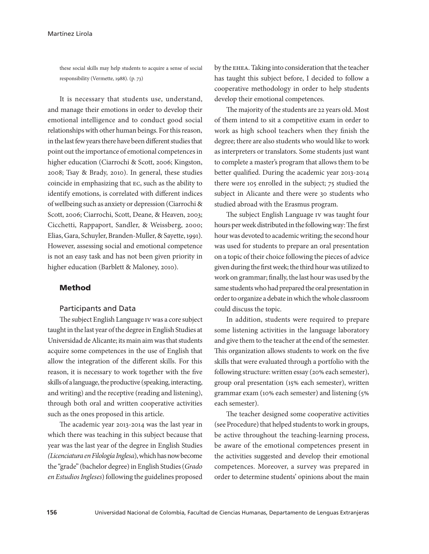these social skills may help students to acquire a sense of social responsibility (Vermette, 1988). (p. 73)

It is necessary that students use, understand, and manage their emotions in order to develop their emotional intelligence and to conduct good social relationships with other human beings. For this reason, in the last few years there have been different studies that point out the importance of emotional competences in higher education (Ciarrochi & Scott, 2006; Kingston, 2008; Tsay & Brady, 2010). In general, these studies coincide in emphasizing that ec, such as the ability to identify emotions, is correlated with different indices of wellbeing such as anxiety or depression (Ciarrochi & Scott, 2006; Ciarrochi, Scott, Deane, & Heaven, 2003; Cicchetti, Rappaport, Sandler, & Weissberg, 2000; Elias, Gara, Schuyler, Branden-Muller, & Sayette, 1991). However, assessing social and emotional competence is not an easy task and has not been given priority in higher education (Barblett & Maloney, 2010).

#### Method

### Participants and Data

The subject English Language iv was a core subject taught in the last year of the degree in English Studies at Universidad de Alicante; its main aim was that students acquire some competences in the use of English that allow the integration of the different skills. For this reason, it is necessary to work together with the five skills of a language, the productive (speaking, interacting, and writing) and the receptive (reading and listening), through both oral and written cooperative activities such as the ones proposed in this article.

The academic year 2013-2014 was the last year in which there was teaching in this subject because that year was the last year of the degree in English Studies *(Licenciatura en Filología Inglesa*), which has now become the "grade" (bachelor degree) in English Studies (*Grado*  en Estudios Ingleses) following the guidelines proposed

by the ehea. Taking into consideration that the teacher has taught this subject before, I decided to follow a cooperative methodology in order to help students develop their emotional competences.

The majority of the students are 22 years old. Most of them intend to sit a competitive exam in order to work as high school teachers when they finish the degree; there are also students who would like to work as interpreters or translators. Some students just want to complete a master's program that allows them to be better qualified. During the academic year 2013-2014 there were 105 enrolled in the subject; 75 studied the subject in Alicante and there were 30 students who studied abroad with the Erasmus program.

The subject English Language iv was taught four hours per week distributed in the following way: The first hour was devoted to academic writing; the second hour was used for students to prepare an oral presentation on a topic of their choice following the pieces of advice given during the first week; the third hour was utilized to work on grammar; finally, the last hour was used by the same students who had prepared the oral presentation in order to organize a debate in which the whole classroom could discuss the topic.

In addition, students were required to prepare some listening activities in the language laboratory and give them to the teacher at the end of the semester. This organization allows students to work on the five skills that were evaluated through a portfolio with the following structure: written essay (20% each semester), group oral presentation (15% each semester), written grammar exam (10% each semester) and listening (5% each semester).

The teacher designed some cooperative activities (see Procedure) that helped students to work in groups, be active throughout the teaching-learning process, be aware of the emotional competences present in the activities suggested and develop their emotional competences. Moreover, a survey was prepared in order to determine students' opinions about the main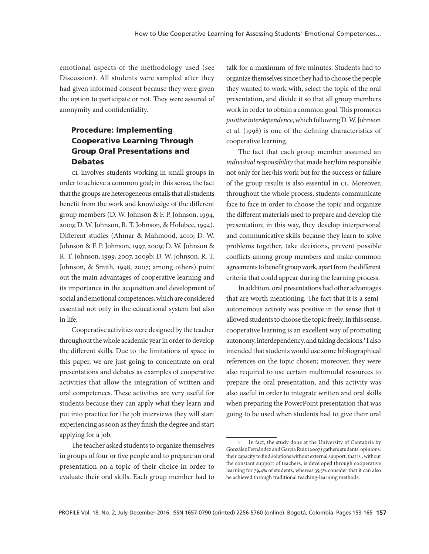emotional aspects of the methodology used (see Discussion). All students were sampled after they had given informed consent because they were given the option to participate or not. They were assured of anonymity and confidentiality.

# Procedure: Implementing Cooperative Learning Through Group Oral Presentations and Debates

cL involves students working in small groups in order to achieve a common goal; in this sense, the fact that the groups are heterogeneous entails that all students benefit from the work and knowledge of the different group members (D. W. Johnson & F. P. Johnson, 1994, 2009; D. W. Johnson, R. T. Johnson, & Holubec, 1994). Different studies (Ahmar & Mahmood, 2010; D. W. Johnson & F. P. Johnson, 1997, 2009; D. W. Johnson & R. T. Johnson, 1999, 2007, 2009b; D. W. Johnson, R. T. Johnson, & Smith, 1998, 2007; among others) point out the main advantages of cooperative learning and its importance in the acquisition and development of social and emotional competences, which are considered essential not only in the educational system but also in life.

Cooperative activities were designed by the teacher throughout the whole academic year in order to develop the different skills. Due to the limitations of space in this paper, we are just going to concentrate on oral presentations and debates as examples of cooperative activities that allow the integration of written and oral competences. These activities are very useful for students because they can apply what they learn and put into practice for the job interviews they will start experiencing as soon as they finish the degree and start applying for a job.

The teacher asked students to organize themselves in groups of four or five people and to prepare an oral presentation on a topic of their choice in order to evaluate their oral skills. Each group member had to

talk for a maximum of five minutes. Students had to organize themselves since they had to choose the people they wanted to work with, select the topic of the oral presentation, and divide it so that all group members work in order to obtain a common goal. This promotes *positive interdependence*, which following D. W. Johnson et al. (1998) is one of the defining characteristics of cooperative learning.

The fact that each group member assumed an *individual responsibility* that made her/him responsible not only for her/his work but for the success or failure of the group results is also essential in CL. Moreover, throughout the whole process, students communicate face to face in order to choose the topic and organize the different materials used to prepare and develop the presentation; in this way, they develop interpersonal and communicative skills because they learn to solve problems together, take decisions, prevent possible conflicts among group members and make common agreements to benefit group work, apart from the different criteria that could appear during the learning process.

In addition, oral presentations had other advantages that are worth mentioning. The fact that it is a semiautonomous activity was positive in the sense that it allowed students to choose the topic freely. In this sense, cooperative learning is an excellent way of promoting autonomy, interdependency, and taking decisions.<sup>1</sup> I also intended that students would use some bibliographical references on the topic chosen; moreover, they were also required to use certain multimodal resources to prepare the oral presentation, and this activity was also useful in order to integrate written and oral skills when preparing the PowerPoint presentation that was going to be used when students had to give their oral

<sup>1</sup> In fact, the study done at the University of Cantabria by González Fernández and García Ruiz (2007) gathers students' opinions: their capacity to find solutions without external support, that is., without the constant support of teachers, is developed through cooperative learning for 79,4% of students, whereas 35,5% consider that it can also be achieved through traditional teaching-learning methods.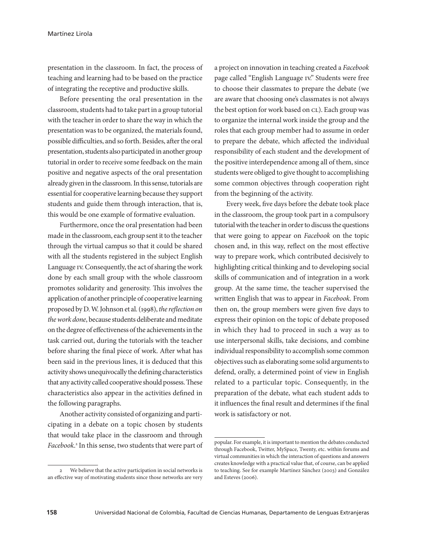presentation in the classroom. In fact, the process of teaching and learning had to be based on the practice of integrating the receptive and productive skills.

Before presenting the oral presentation in the classroom, students had to take part in a group tutorial with the teacher in order to share the way in which the presentation was to be organized, the materials found, possible difficulties, and so forth. Besides, after the oral presentation, students also participated in another group tutorial in order to receive some feedback on the main positive and negative aspects of the oral presentation already given in the classroom. In this sense, tutorials are essential for cooperative learning because they support students and guide them through interaction, that is, this would be one example of formative evaluation.

Furthermore, once the oral presentation had been made in the classroom, each group sent it to the teacher through the virtual campus so that it could be shared with all the students registered in the subject English Language iv. Consequently, the act of sharing the work done by each small group with the whole classroom promotes solidarity and generosity. This involves the application of another principle of cooperative learning proposed by D. W. Johnson et al. (1998), *the reflection on the work done*, because students deliberate and meditate on the degree of effectiveness of the achievements in the task carried out, during the tutorials with the teacher before sharing the final piece of work. After what has been said in the previous lines, it is deduced that this activity shows unequivocally the defining characteristics that any activity called cooperative should possess. These characteristics also appear in the activities defined in the following paragraphs.

Another activity consisted of organizing and participating in a debate on a topic chosen by students that would take place in the classroom and through *Facebook*. 2 In this sense, two students that were part of a project on innovation in teaching created a *Facebook* page called "English Language iv." Students were free to choose their classmates to prepare the debate (we are aware that choosing one's classmates is not always the best option for work based on CL). Each group was to organize the internal work inside the group and the roles that each group member had to assume in order to prepare the debate, which affected the individual responsibility of each student and the development of the positive interdependence among all of them, since students were obliged to give thought to accomplishing some common objectives through cooperation right from the beginning of the activity.

Every week, five days before the debate took place in the classroom, the group took part in a compulsory tutorial with the teacher in order to discuss the questions that were going to appear on *Facebook* on the topic chosen and, in this way, reflect on the most effective way to prepare work, which contributed decisively to highlighting critical thinking and to developing social skills of communication and of integration in a work group. At the same time, the teacher supervised the written English that was to appear in *Facebook*. From then on, the group members were given five days to express their opinion on the topic of debate proposed in which they had to proceed in such a way as to use interpersonal skills, take decisions, and combine individual responsibility to accomplish some common objectives such as elaborating some solid arguments to defend, orally, a determined point of view in English related to a particular topic. Consequently, in the preparation of the debate, what each student adds to it influences the final result and determines if the final work is satisfactory or not.

<sup>2</sup> We believe that the active participation in social networks is an effective way of motivating students since those networks are very

popular. For example, it is important to mention the debates conducted through Facebook, Twitter, MySpace, Twenty, etc. within forums and virtual communities in which the interaction of questions and answers creates knowledge with a practical value that, of course, can be applied to teaching. See for example Martínez Sánchez (2003) and González and Esteves (2006).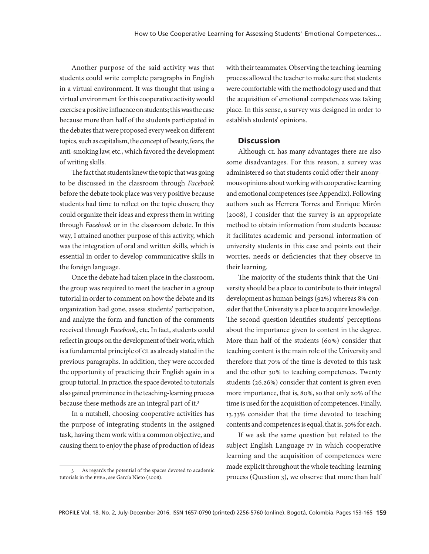Another purpose of the said activity was that students could write complete paragraphs in English in a virtual environment. It was thought that using a virtual environment for this cooperative activity would exercise a positive influence on students; this was the case because more than half of the students participated in the debates that were proposed every week on different topics, such as capitalism, the concept of beauty, fears, the anti-smoking law, etc., which favored the development of writing skills.

The fact that students knew the topic that was going to be discussed in the classroom through *Facebook* before the debate took place was very positive because students had time to reflect on the topic chosen; they could organize their ideas and express them in writing through *Facebook* or in the classroom debate. In this way, I attained another purpose of this activity, which was the integration of oral and written skills, which is essential in order to develop communicative skills in the foreign language.

Once the debate had taken place in the classroom, the group was required to meet the teacher in a group tutorial in order to comment on how the debate and its organization had gone, assess students' participation, and analyze the form and function of the comments received through *Facebook*, etc. In fact, students could reflect in groups on the development of their work, which is a fundamental principle of CL as already stated in the previous paragraphs. In addition, they were accorded the opportunity of practicing their English again in a group tutorial. In practice, the space devoted to tutorials also gained prominence in the teaching-learning process because these methods are an integral part of it.3

In a nutshell, choosing cooperative activities has the purpose of integrating students in the assigned task, having them work with a common objective, and causing them to enjoy the phase of production of ideas

with their teammates. Observing the teaching-learning process allowed the teacher to make sure that students were comfortable with the methodology used and that the acquisition of emotional competences was taking place. In this sense, a survey was designed in order to establish students' opinions.

### **Discussion**

Although CL has many advantages there are also some disadvantages. For this reason, a survey was administered so that students could offer their anonymous opinions about working with cooperative learning and emotional competences (see Appendix). Following authors such as Herrera Torres and Enrique Mirón (2008), I consider that the survey is an appropriate method to obtain information from students because it facilitates academic and personal information of university students in this case and points out their worries, needs or deficiencies that they observe in their learning.

The majority of the students think that the University should be a place to contribute to their integral development as human beings (92%) whereas 8% consider that the University is a place to acquire knowledge. The second question identifies students' perceptions about the importance given to content in the degree. More than half of the students (60%) consider that teaching content is the main role of the University and therefore that 70% of the time is devoted to this task and the other 30% to teaching competences. Twenty students (26.26%) consider that content is given even more importance, that is, 80%, so that only 20% of the time is used for the acquisition of competences. Finally, 13.33% consider that the time devoted to teaching contents and competences is equal, that is, 50% for each.

If we ask the same question but related to the subject English Language iv in which cooperative learning and the acquisition of competences were made explicit throughout the whole teaching-learning process (Question 3), we observe that more than half

<sup>3</sup> As regards the potential of the spaces devoted to academic tutorials in the ehea, see García Nieto (2008).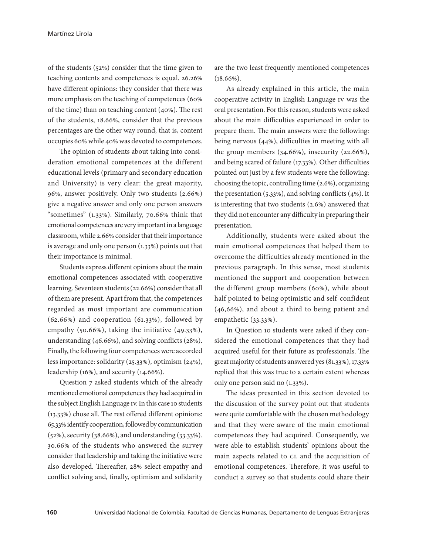of the students (52%) consider that the time given to teaching contents and competences is equal. 26.26% have different opinions: they consider that there was more emphasis on the teaching of competences (60% of the time) than on teaching content (40%). The rest of the students, 18.66%, consider that the previous percentages are the other way round, that is, content occupies 60% while 40% was devoted to competences.

The opinion of students about taking into consideration emotional competences at the different educational levels (primary and secondary education and University) is very clear: the great majority, 96%, answer positively. Only two students (2.66%) give a negative answer and only one person answers "sometimes" (1.33%). Similarly, 70.66% think that emotional competences are very important in a language classroom, while 2.66% consider that their importance is average and only one person (1.33%) points out that their importance is minimal.

Students express different opinions about the main emotional competences associated with cooperative learning. Seventeen students (22.66%) consider that all of them are present. Apart from that, the competences regarded as most important are communication (62.66%) and cooperation (61.33%), followed by empathy (50.66%), taking the initiative (49.33%), understanding (46.66%), and solving conflicts (28%). Finally, the following four competences were accorded less importance: solidarity (25.33%), optimism (24%), leadership (16%), and security (14.66%).

Question 7 asked students which of the already mentioned emotional competences they had acquired in the subject English Language iv. In this case 10 students (13.33%) chose all. The rest offered different opinions: 65.33% identify cooperation, followed by communication (52%), security (38.66%), and understanding (33.33%). 30.66% of the students who answered the survey consider that leadership and taking the initiative were also developed. Thereafter, 28% select empathy and conflict solving and, finally, optimism and solidarity

are the two least frequently mentioned competences  $(18.66\%)$ .

As already explained in this article, the main cooperative activity in English Language iv was the oral presentation. For this reason, students were asked about the main difficulties experienced in order to prepare them. The main answers were the following: being nervous (44%), difficulties in meeting with all the group members (34.66%), insecurity (22.66%), and being scared of failure (17.33%). Other difficulties pointed out just by a few students were the following: choosing the topic, controlling time (2.6%), organizing the presentation (5.33%), and solving conflicts (4%). It is interesting that two students (2.6%) answered that they did not encounter any difficulty in preparing their presentation.

Additionally, students were asked about the main emotional competences that helped them to overcome the difficulties already mentioned in the previous paragraph. In this sense, most students mentioned the support and cooperation between the different group members (60%), while about half pointed to being optimistic and self-confident (46,66%), and about a third to being patient and empathetic (33.33%).

In Question 10 students were asked if they considered the emotional competences that they had acquired useful for their future as professionals. The great majority of students answered yes (81.33%), 17.33% replied that this was true to a certain extent whereas only one person said no (1.33%).

The ideas presented in this section devoted to the discussion of the survey point out that students were quite comfortable with the chosen methodology and that they were aware of the main emotional competences they had acquired. Consequently, we were able to establish students' opinions about the main aspects related to  $CL$  and the acquisition of emotional competences. Therefore, it was useful to conduct a survey so that students could share their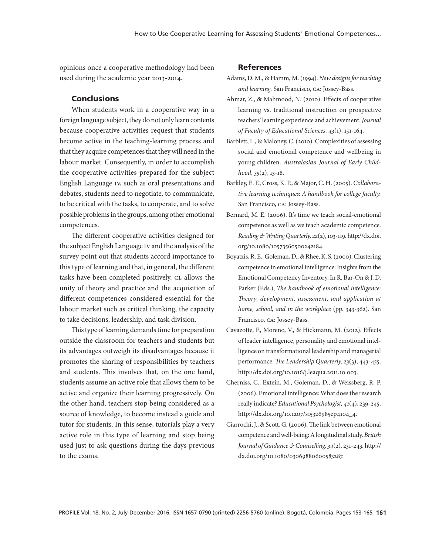opinions once a cooperative methodology had been used during the academic year 2013-2014.

### Conclusions

When students work in a cooperative way in a foreign language subject, they do not only learn contents because cooperative activities request that students become active in the teaching-learning process and that they acquire competences that they will need in the labour market. Consequently, in order to accomplish the cooperative activities prepared for the subject English Language iv, such as oral presentations and debates, students need to negotiate, to communicate, to be critical with the tasks, to cooperate, and to solve possible problems in the groups, among other emotional competences.

The different cooperative activities designed for the subject English Language iv and the analysis of the survey point out that students accord importance to this type of learning and that, in general, the different tasks have been completed positively. CL allows the unity of theory and practice and the acquisition of different competences considered essential for the labour market such as critical thinking, the capacity to take decisions, leadership, and task division.

This type of learning demands time for preparation outside the classroom for teachers and students but its advantages outweigh its disadvantages because it promotes the sharing of responsibilities by teachers and students. This involves that, on the one hand, students assume an active role that allows them to be active and organize their learning progressively. On the other hand, teachers stop being considered as a source of knowledge, to become instead a guide and tutor for students. In this sense, tutorials play a very active role in this type of learning and stop being used just to ask questions during the days previous to the exams.

### References

- Adams, D. M., & Hamm, M. (1994). *New designs for teaching and learning.* San Francisco, ca: Jossey-Bass.
- Ahmar, Z., & Mahmood, N. (2010). Effects of cooperative learning vs. traditional instruction on prospective teachers' learning experience and achievement. *Journal of Faculty of Educational Sciences, 43*(1), 151-164.
- Barblett, L., & Maloney, C. (2010). Complexities of assessing social and emotional competence and wellbeing in young children. *Australasian Journal of Early Childhood, 35*(2), 13-18.
- Barkley, E. F., Cross, K. P., & Major, C. H. (2005). *Collaborative learning techniques*: *A handbook for college faculty.*  San Francisco, ca: Jossey-Bass.
- Bernard, M. E. (2006). It's time we teach social-emotional competence as well as we teach academic competence. *Reading & Writing Quarterly, 22*(2), 103-119. http://dx.doi. org/10.1080/10573560500242184.
- Boyatzis, R. E., Goleman, D., & Rhee, K. S. (2000). Clustering competence in emotional intelligence: Insights from the Emotional Competency Inventory. In R. Bar-On & J. D. Parker (Eds.), *The handbook of emotional intelligence: Theory, development, assessment, and application at home, school, and in the workplace* (pp. 343-362). San Francisco, ca: Jossey-Bass.
- Cavazotte, F., Moreno, V., & Hickmann, M. (2012). Effects of leader intelligence, personality and emotional intelligence on transformational leadership and managerial performance. *The Leadership Quarterly, 23*(3), 443-455. http://dx.doi.org/10.1016/j.leaqua.2011.10.003.
- Cherniss, C., Extein, M., Goleman, D., & Weissberg, R. P. (2006). Emotional intelligence: What does the research really indicate? *Educational Psychologist, 41*(4), 239-245. http://dx.doi.org/10.1207/s15326985ep4104\_4.
- Ciarrochi, J., & Scott, G. (2006). The link between emotional competence and well-being: A longitudinal study. *British Journal of Guidance & Counselling,34*(2), 231-243. http:// dx.doi.org/10.1080/03069880600583287.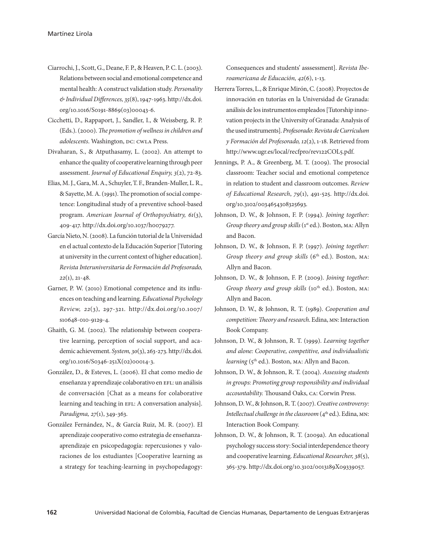- Ciarrochi, J., Scott, G., Deane, F. P., & Heaven, P. C. L. (2003). Relations between social and emotional competence and mental health: A construct validation study. *Personality & Individual Differences,35*(8), 1947-1963. http://dx.doi. org/10.1016/S0191-8869(03)00043-6.
- Cicchetti, D., Rappaport, J., Sandler, I., & Weissberg, R. P. (Eds.). (2000). *The promotion of wellness in children and adolescents*. Washington, DC: CWLA Press.
- Divaharan, S., & Atputhasamy, L. (2002). An attempt to enhance the quality of cooperative learning through peer assessment. *Journal of Educational Enquiry, 3*(2), 72-83.
- Elias, M. J., Gara, M. A., Schuyler, T. F., Branden-Muller, L. R., & Sayette, M. A. (1991). The promotion of social competence: Longitudinal study of a preventive school-based program. *American Journal of Orthopsychiatry, 61*(3), 409-417. http://dx.doi.org/10.1037/h0079277.
- García Nieto, N. (2008). La función tutorial de la Universidad en el actual contexto de la Educación Superior [Tutoring at university in the current context of higher education]. *Revista Interuniversitaria de Formación del Profesorado, 22*(1), 21-48.
- Garner, P. W. (2010) Emotional competence and its influences on teaching and learning. *Educational Psychology Review, 22*(3), 297-321. http://dx.doi.org/10.1007/ s10648-010-9129-4.
- Ghaith, G. M. (2002). The relationship between cooperative learning, perception of social support, and academic achievement. *System,30*(3), 263-273. http://dx.doi. org/10.1016/S0346-251X(02)00014-3.
- González, D., & Esteves, L. (2006). El chat como medio de enseñanza y aprendizaje colaborativo en EFL: un análisis de conversación [Chat as a means for colaborative learning and teaching in EFL: A conversation analysis]. *Paradigma, 27*(1), 349-363.
- González Fernández, N., & García Ruiz, M. R. (2007). El aprendizaje cooperativo como estrategia de enseñanzaaprendizaje en psicopedagogía: repercusiones y valoraciones de los estudiantes [Cooperative learning as a strategy for teaching-learning in psychopedagogy:

Consequences and students' asssessment]. *Revista Iberoamericana de Educación, 42*(6), 1-13.

- Herrera Torres, L., & Enrique Mirón, C. (2008). Proyectos de innovación en tutorías en la Universidad de Granada: análisis de los instrumentos empleados [Tutorship innovation projects in the University of Granada: Analysis of the used instruments]. *Profesorado: Revista de Currículum y Formación del Profesorado, 12*(2), 1-18. Retrieved from http://www.ugr.es/local/recfpro/rev122COL5.pdf.
- Jennings, P. A., & Greenberg, M. T. (2009). The prosocial classroom: Teacher social and emotional competence in relation to student and classroom outcomes. *Review of Educational Research*, *79*(1), 491-525. http://dx.doi. org/10.3102/0034654308325693.
- Johnson, D. W., & Johnson, F. P. (1994). *Joining together: Group theory and group skills* (1<sup>st</sup> ed.). Boston, MA: Allyn and Bacon.
- Johnson, D. W., & Johnson, F. P. (1997). *Joining together: Group theory and group skills* (6<sup>th</sup> ed.). Boston, MA: Allyn and Bacon.
- Johnson, D. W., & Johnson, F. P. (2009). *Joining together: Group theory and group skills* (10<sup>th</sup> ed.). Boston, MA: Allyn and Bacon.
- Johnson, D. W., & Johnson, R. T. (1989). *Cooperation and competition: Theory and research*. Edina, mn: Interaction Book Company.
- Johnson, D. W., & Johnson, R. T. (1999). *Learning together and alone: Cooperative, competitive, and individualistic learning* (5<sup>th</sup> ed.). Boston, MA: Allyn and Bacon.
- Johnson, D. W., & Johnson, R. T. (2004). *Assessing students in groups: Promoting group responsibility and individual accountability.* Thousand Oaks, ca: Corwin Press.
- Johnson, D. W., & Johnson, R. T. (2007). *Creative controversy: Intellectual challenge in the classroom* (4<sup>th</sup> ed.). Edina, MN: Interaction Book Company.
- Johnson, D. W., & Johnson, R. T. (2009a). An educational psychology success story: Social interdependence theory and cooperative learning. *Educational Researcher*, 38(5), 365-379. http://dx.doi.org/10.3102/0013189X09339057.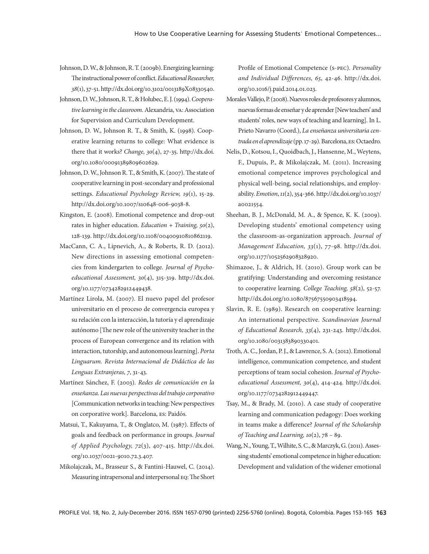- Johnson, D. W., & Johnson, R. T. (2009b). Energizing learning: The instructional power of conflict. *Educational Researcher, 38*(1), 37-51. http://dx.doi.org/10.3102/0013189X08330540.
- Johnson, D. W., Johnson, R. T., & Holubec, E. J. (1994). *Cooperative learning in the classroom.* Alexandria, va: Association for Supervision and Curriculum Development.
- Johnson, D. W., Johnson R. T., & Smith, K. (1998). Cooperative learning returns to college: What evidence is there that it works? *Change, 30*(4), 27-35. http://dx.doi. org/10.1080/00091389809602629.
- Johnson, D. W., Johnson R. T., & Smith, K. (2007). The state of cooperative learning in post-secondary and professional settings. *Educational Psychology Review, 19*(1), 15-29. http://dx.doi.org/10.1007/s10648-006-9038-8.
- Kingston, E. (2008). Emotional competence and drop-out rates in higher education. *Education + Training, 50*(2), 128-139. http://dx.doi.org/10.1108/00400910810862119.
- MacCann, C. A., Lipnevich, A., & Roberts, R. D. (2012). New directions in assessing emotional competencies from kindergarten to college. *Journal of Psychoeducational Assessment, 30*(4), 315-319. http://dx.doi. org/10.1177/0734282912449438.
- Martínez Lirola, M. (2007). El nuevo papel del profesor universitario en el proceso de convergencia europea y su relación con la interacción, la tutoría y el aprendizaje autónomo [The new role of the university teacher in the process of European convergence and its relation with interaction, tutorship, and autonomous learning]. *Porta Linguarum. Revista Internacional de Didáctica de las Lenguas Extranjeras, 7*, 31-43.
- Martínez Sánchez, F. (2003). *Redes de comunicación en la enseñanza. Las nuevas perspectivas del trabajo corporativo*  [Communication networks in teaching: New perspectives on corporative work]. Barcelona, es: Paidós.
- Matsui, T., Kakuyama, T., & Onglatco, M. (1987). Effects of goals and feedback on performance in groups. *Journal of Applied Psychology, 72*(3), 407-415. http://dx.doi. org/10.1037/0021-9010.72.3.407.
- Mikolajczak, M., Brasseur S., & Fantini-Hauwel, C. (2014). Measuring intrapersonal and interpersonal eq: The Short

Profile of Emotional Competence (s-pec). *Personality and Individual Differences, 65*, 42-46. http://dx.doi. org/10.1016/j.paid.2014.01.023.

- Morales Vallejo, P. (2008). Nuevos roles de profesores y alumnos, nuevas formas de enseñar y de aprender [New teachers' and students' roles, new ways of teaching and learning]. In L. Prieto Navarro (Coord.), *La enseñanza universitaria centrada en el aprendizaje* (pp. 17-29)*.* Barcelona, es: Octaedro.
- Nelis, D., Kotsou, I., Quoidbach, J., Hansenne, M., Weytens, F., Dupuis, P., & Mikolajczak, M. (2011). Increasing emotional competence improves psychological and physical well-being, social relationships, and employability. *Emotion*, *11*(2), 354-366. http://dx.doi.org/10.1037/ a0021554.
- Sheehan, B. J., McDonald, M. A., & Spence, K. K. (2009). Developing students' emotional competency using the classroom-as-organization approach. *Journal of Management Education, 33*(1), 77-98. http://dx.doi. org/10.1177/1052562908328920.
- Shimazoe, J., & Aldrich, H. (2010). Group work can be gratifying: Understanding and overcoming resistance to cooperative learning*. College Teaching, 58*(2), 52-57. http://dx.doi.org/10.1080/87567550903418594.
- Slavin, R. E. (1989). Research on cooperative learning: An international perspective. *Scandinavian Journal of Educational Research, 33*(4), 231-243. http://dx.doi. org/10.1080/0031383890330401.
- Troth, A. C., Jordan, P. J., & Lawrence, S. A. (2012). Emotional intelligence, communication competence, and student perceptions of team social cohesion. *Journal of Psychoeducational Assessment, 30*(4), 414-424. http://dx.doi. org/10.1177/0734282912449447.
- Tsay, M., & Brady, M. (2010). A case study of cooperative learning and communication pedagogy: Does working in teams make a difference? *Journal of the Scholarship of Teaching and Learning, 10*(2), 78 – 89.
- Wang, N., Young, T., Wilhite, S. C., & Marczyk, G. (2011). Assessing students' emotional competence in higher education: Development and validation of the widener emotional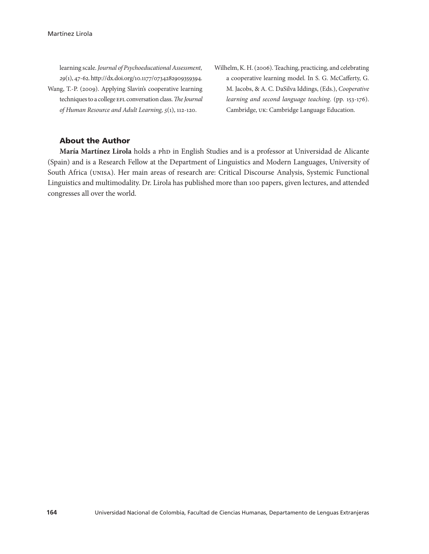learning scale. *Journal of Psychoeducational Assessment, 29*(1), 47-62. http://dx.doi.org/10.1177/0734282909359394. Wang, T.-P. (2009). Applying Slavin's cooperative learning techniques to a college EFL conversation class. The Journal *of Human Resource and Adult Learning, 5*(1), 112-120.

Wilhelm, K. H. (2006). Teaching, practicing, and celebrating a cooperative learning model. In S. G. McCafferty, G. M. Jacobs, & A. C. DaSilva Iddings, (Eds.), *Cooperative learning and second language teaching*. (pp. 153-176). Cambridge, uk: Cambridge Language Education.

# About the Author

María Martínez Lirola holds a php in English Studies and is a professor at Universidad de Alicante (Spain) and is a Research Fellow at the Department of Linguistics and Modern Languages, University of South Africa (unisa). Her main areas of research are: Critical Discourse Analysis, Systemic Functional Linguistics and multimodality. Dr. Lirola has published more than 100 papers, given lectures, and attended congresses all over the world.